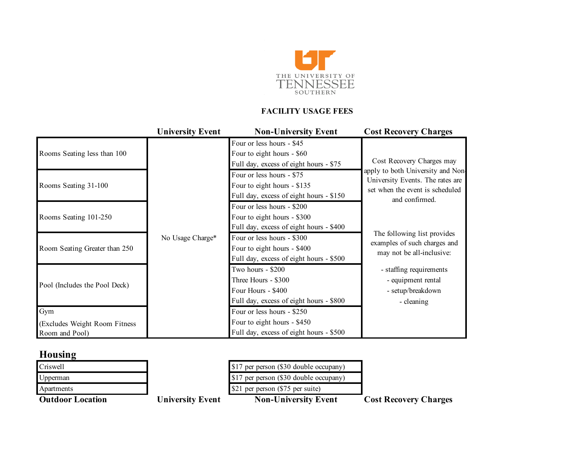

### **FACILITY USAGE FEES**

|                                                 | <b>University Event</b> | <b>Non-University Event</b>                                                                               | <b>Cost Recovery Charges</b>                                                                                               |
|-------------------------------------------------|-------------------------|-----------------------------------------------------------------------------------------------------------|----------------------------------------------------------------------------------------------------------------------------|
| Rooms Seating less than 100                     | No Usage Charge*        | Four or less hours - \$45<br>Four to eight hours - \$60<br>Full day, excess of eight hours - \$75         | Cost Recovery Charges may                                                                                                  |
| Rooms Seating 31-100                            |                         | Four or less hours - \$75<br>Four to eight hours - \$135<br>Full day, excess of eight hours - \$150       | apply to both University and Non-<br>University Events. The rates are<br>set when the event is scheduled<br>and confirmed. |
| Rooms Seating 101-250                           |                         | Four or less hours - \$200<br>Four to eight hours - \$300<br>Full day, excess of eight hours - \$400      |                                                                                                                            |
| Room Seating Greater than 250                   |                         | Four or less hours - \$300<br>Four to eight hours - \$400<br>Full day, excess of eight hours - \$500      | The following list provides<br>examples of such charges and<br>may not be all-inclusive:                                   |
| Pool (Includes the Pool Deck)                   |                         | Two hours - \$200<br>Three Hours - \$300<br>Four Hours - \$400<br>Full day, excess of eight hours - \$800 | - staffing requirements<br>- equipment rental<br>- setup/breakdown<br>- cleaning                                           |
| Gym                                             |                         | Four or less hours - \$250                                                                                |                                                                                                                            |
| (Excludes Weight Room Fitness<br>Room and Pool) |                         | Four to eight hours - \$450<br>Full day, excess of eight hours - \$500                                    |                                                                                                                            |

# **Housing**

| <b>Outdoor Location</b> | <b>University Event</b> | <b>Non-University Event</b>            | <b>Cost Recovery Charges</b> |
|-------------------------|-------------------------|----------------------------------------|------------------------------|
| Apartments              |                         | \$21 per person (\$75 per suite)       |                              |
| Upperman                |                         | \$17 per person (\$30 double occupany) |                              |
| Criswell                |                         | \$17 per person (\$30 double occupany) |                              |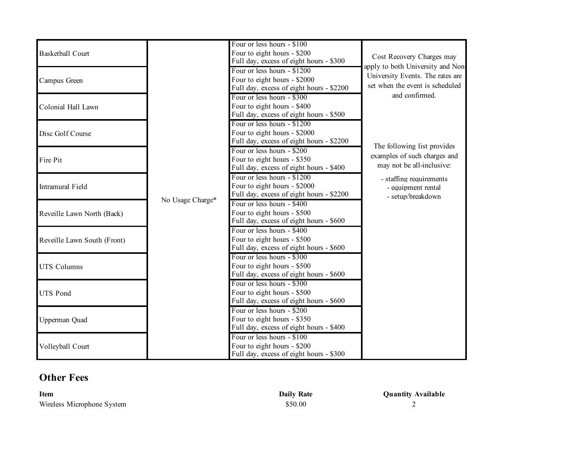|                             |                  | Four or less hours - \$100               |                                   |
|-----------------------------|------------------|------------------------------------------|-----------------------------------|
| <b>Basketball Court</b>     |                  | Four to eight hours - \$200              |                                   |
|                             |                  | Full day, excess of eight hours - \$300  | Cost Recovery Charges may         |
|                             |                  | Four or less hours - \$1200              | apply to both University and Non- |
| Campus Green                |                  | Four to eight hours - \$2000             | University Events. The rates are  |
|                             |                  | Full day, excess of eight hours - \$2200 | set when the event is scheduled   |
|                             |                  | Four or less hours - \$300               | and confirmed.                    |
| Colonial Hall Lawn          |                  | Four to eight hours - \$400              |                                   |
|                             |                  | Full day, excess of eight hours - \$500  |                                   |
|                             |                  | Four or less hours - \$1200              |                                   |
| Disc Golf Course            |                  | Four to eight hours - \$2000             |                                   |
|                             |                  | Full day, excess of eight hours - \$2200 |                                   |
|                             |                  | Four or less hours - \$200               | The following list provides       |
| Fire Pit                    |                  | Four to eight hours - \$350              | examples of such charges and      |
|                             |                  | Full day, excess of eight hours - \$400  | may not be all-inclusive:         |
|                             |                  | Four or less hours - \$1200              | - staffing requirements           |
| Intramural Field            |                  | Four to eight hours - \$2000             | - equipment rental                |
|                             |                  | Full day, excess of eight hours - \$2200 | - setup/breakdown                 |
|                             | No Usage Charge* | Four or less hours - \$400               |                                   |
| Reveille Lawn North (Back)  |                  | Four to eight hours - \$500              |                                   |
|                             |                  | Full day, excess of eight hours - \$600  |                                   |
|                             |                  | Four or less hours - \$400               |                                   |
| Reveille Lawn South (Front) |                  | Four to eight hours - \$500              |                                   |
|                             |                  | Full day, excess of eight hours - \$600  |                                   |
|                             |                  | Four or less hours - \$300               |                                   |
| <b>UTS Columns</b>          |                  | Four to eight hours - \$500              |                                   |
|                             |                  | Full day, excess of eight hours - \$600  |                                   |
|                             |                  | Four or less hours - \$300               |                                   |
| <b>UTS Pond</b>             |                  | Four to eight hours - \$500              |                                   |
|                             |                  | Full day, excess of eight hours - \$600  |                                   |
|                             |                  | Four or less hours - \$200               |                                   |
| Upperman Quad               |                  | Four to eight hours - \$350              |                                   |
|                             |                  | Full day, excess of eight hours - \$400  |                                   |
|                             |                  | Four or less hours - \$100               |                                   |
| Volleyball Court            |                  | Four to eight hours - \$200              |                                   |
|                             |                  | Full day, excess of eight hours - \$300  |                                   |

## **Other Fees**

| <b>Item</b>                | <b>Daily Rate</b> | <b>Quantity Available</b> |
|----------------------------|-------------------|---------------------------|
| Wireless Microphone System | \$50.00           |                           |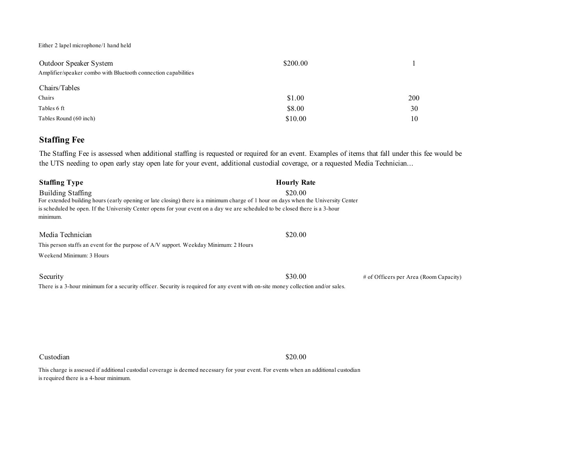Either 2 lapel microphone/1 hand held

| Outdoor Speaker System                                         | \$200.00 |     |
|----------------------------------------------------------------|----------|-----|
| Amplifier/speaker combo with Bluetooth connection capabilities |          |     |
| Chairs/Tables                                                  |          |     |
| Chairs                                                         | \$1.00   | 200 |
| Tables 6 ft                                                    | \$8.00   | 30  |
| Tables Round (60 inch)                                         | \$10.00  | 10  |

#### **Staffing Fee**

The Staffing Fee is assessed when additional staffing is requested or required for an event. Examples of items that fall under this fee would be the UTS needing to open early stay open late for your event, additional custodial coverage, or a requested Media Technician...

| <b>Staffing Type</b>                                                                                                               | <b>Hourly Rate</b> |                                          |  |
|------------------------------------------------------------------------------------------------------------------------------------|--------------------|------------------------------------------|--|
| <b>Building Staffing</b>                                                                                                           | \$20.00            |                                          |  |
| For extended building hours (early opening or late closing) there is a minimum charge of 1 hour on days when the University Center |                    |                                          |  |
| is scheduled be open. If the University Center opens for your event on a day we are scheduled to be closed there is a 3-hour       |                    |                                          |  |
| minimum.                                                                                                                           |                    |                                          |  |
| Media Technician                                                                                                                   | \$20.00            |                                          |  |
|                                                                                                                                    |                    |                                          |  |
| This person staffs an event for the purpose of A/V support. Weekday Minimum: 2 Hours                                               |                    |                                          |  |
| Weekend Minimum: 3 Hours                                                                                                           |                    |                                          |  |
|                                                                                                                                    |                    |                                          |  |
| Security                                                                                                                           | \$30.00            | $#$ of Officers per Area (Room Capacity) |  |
| There is a 3-hour minimum for a security officer. Security is required for any event with on-site money collection and/or sales.   |                    |                                          |  |
|                                                                                                                                    |                    |                                          |  |
|                                                                                                                                    |                    |                                          |  |
|                                                                                                                                    |                    |                                          |  |
|                                                                                                                                    |                    |                                          |  |
|                                                                                                                                    |                    |                                          |  |

Custodian \$20.00

This charge is assessed if additional custodial coverage is deemed necessary for your event. For events when an additional custodian is required there is a 4-hour minimum.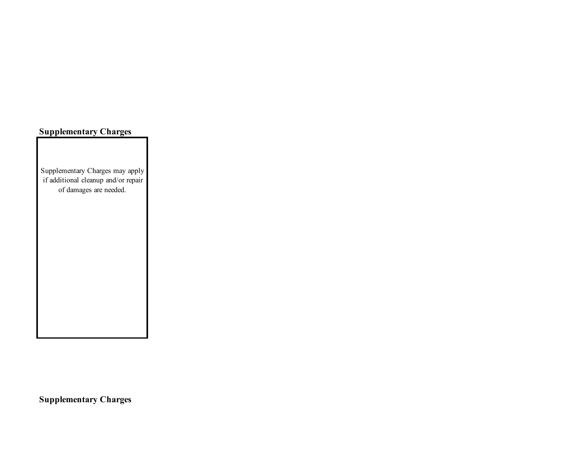### **Supplementary Charges**

Supplementary Charges may apply if additional cleanup and/or repair of damages are needed.

**Supplementary Charges**